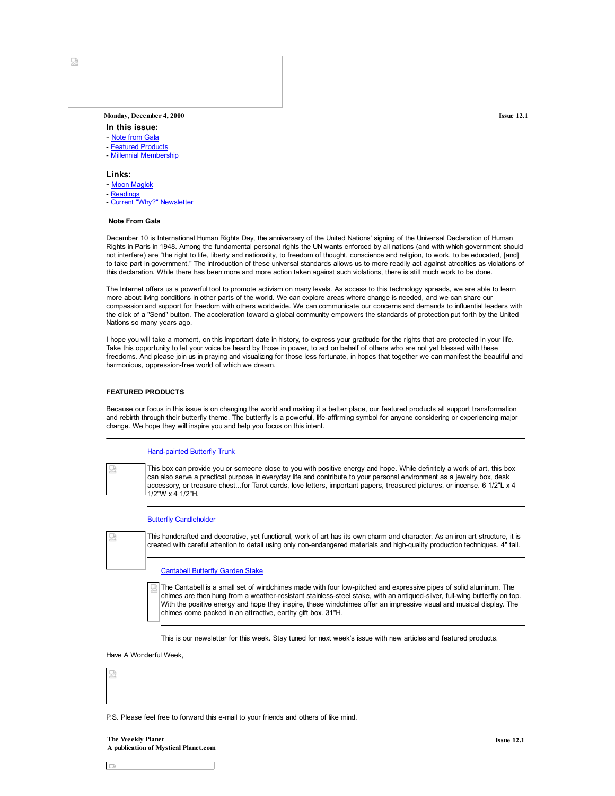# **Monday, December 4, 2000 Issue 12.1**

- **In this issue:**
- Note from Gala
- Featured Products
- Millennial Membership

#### **Links:**

- Moon Magick
- Readings
- Current "Why?" Newsletter

### **Note From Gala**

December 10 is International Human Rights Day, the anniversary of the United Nations' signing of the Universal Declaration of Human Rights in Paris in 1948. Among the fundamental personal rights the UN wants enforced by all nations (and with which government should not interfere) are "the right to life, liberty and nationality, to freedom of thought, conscience and religion, to work, to be educated, [and] to take part in government." The introduction of these universal standards allows us to more readily act against atrocities as violations of this declaration. While there has been more and more action taken against such violations, there is still much work to be done.

The Internet offers us a powerful tool to promote activism on many levels. As access to this technology spreads, we are able to learn more about living conditions in other parts of the world. We can explore areas where change is needed, and we can share our compassion and support for freedom with others worldwide. We can communicate our concerns and demands to influential leaders with the click of a "Send" button. The acceleration toward a global community empowers the standards of protection put forth by the United Nations so many years ago.

I hope you will take a moment, on this important date in history, to express your gratitude for the rights that are protected in your life. Take this opportunity to let your voice be heard by those in power, to act on behalf of others who are not yet blessed with these freedoms. And please join us in praying and visualizing for those less fortunate, in hopes that together we can manifest the beautiful and harmonious, oppression-free world of which we dream.

# **FEATURED PRODUCTS**

Because our focus in this issue is on changing the world and making it a better place, our featured products all support transformation and rebirth through their butterfly theme. The butterfly is a powerful, life-affirming symbol for anyone considering or experiencing major change. We hope they will inspire you and help you focus on this intent.

### Hand-painted Butterfly Trunk

This box can provide you or someone close to you with positive energy and hope. While definitely a work of art, this box e. can also serve a practical purpose in everyday life and contribute to your personal environment as a jewelry box, desk accessory, or treasure chest...for Tarot cards, love letters, important papers, treasured pictures, or incense. 6 1/2"L x 4 1/2"W x 4 1/2"H.

#### **Butterfly Candleholder**

This handcrafted and decorative, yet functional, work of art has its own charm and character. As an iron art structure, it is created with careful attention to detail using only non-endangered materials and high-quality production techniques. 4" tall.

#### Cantabell Butterfly Garden Stake

The Cantabell is a small set of windchimes made with four low-pitched and expressive pipes of solid aluminum. The chimes are then hung from a weather-resistant stainless-steel stake, with an antiqued-silver, full-wing butterfly on top. With the positive energy and hope they inspire, these windchimes offer an impressive visual and musical display. The chimes come packed in an attractive, earthy gift box. 31"H.

This is our newsletter for this week. Stay tuned for next week's issue with new articles and featured products.

Have A Wonderful Week,



P.S. Please feel free to forward this e-mail to your friends and others of like mind.



 $\Box$